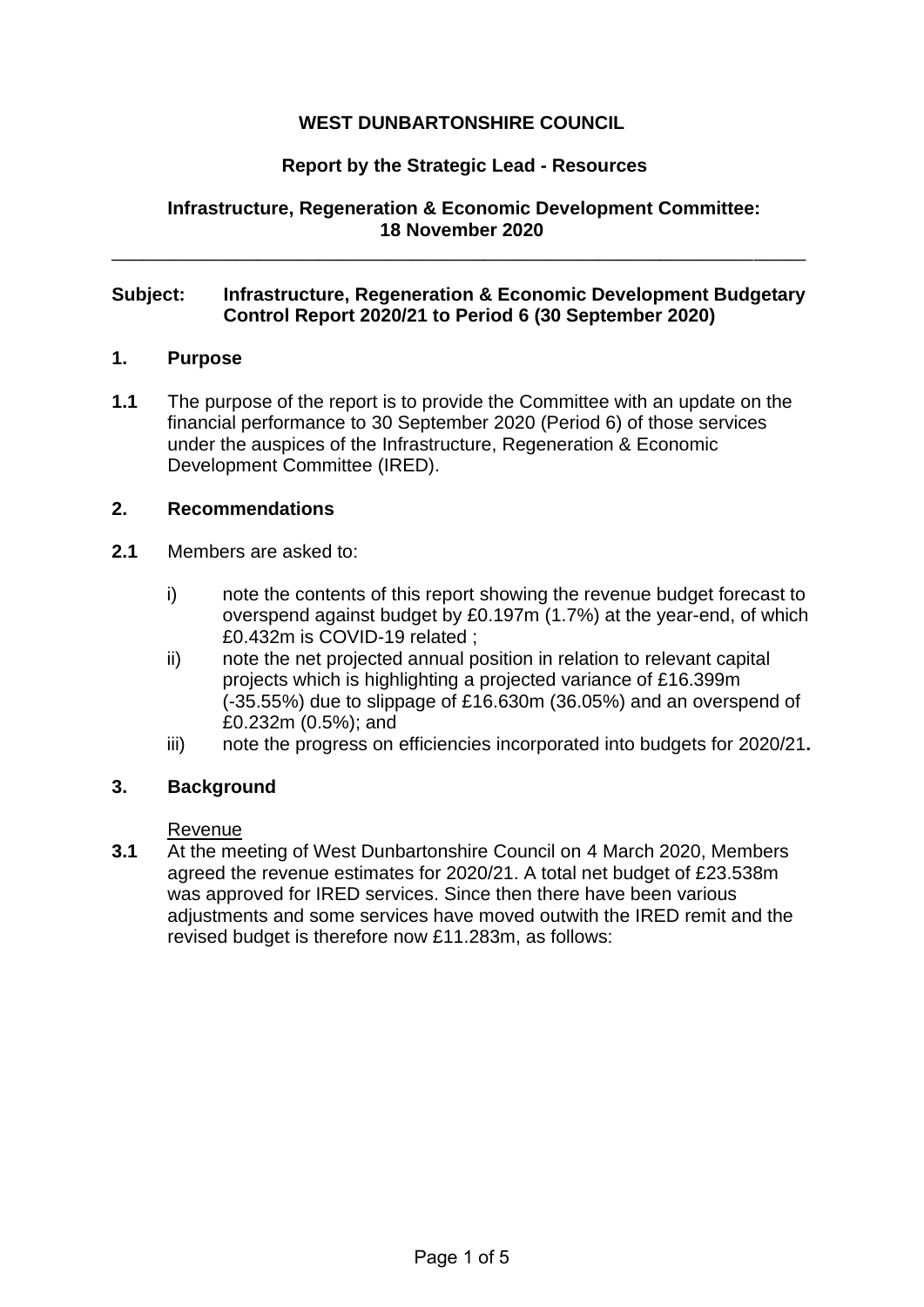# **WEST DUNBARTONSHIRE COUNCIL**

## **Report by the Strategic Lead - Resources**

**Infrastructure, Regeneration & Economic Development Committee: 18 November 2020**

### **Subject: Infrastructure, Regeneration & Economic Development Budgetary Control Report 2020/21 to Period 6 (30 September 2020)**

\_\_\_\_\_\_\_\_\_\_\_\_\_\_\_\_\_\_\_\_\_\_\_\_\_\_\_\_\_\_\_\_\_\_\_\_\_\_\_\_\_\_\_\_\_\_\_\_\_\_\_\_\_\_\_\_\_\_\_\_\_\_\_\_\_\_\_

#### **1. Purpose**

**1.1** The purpose of the report is to provide the Committee with an update on the financial performance to 30 September 2020 (Period 6) of those services under the auspices of the Infrastructure, Regeneration & Economic Development Committee (IRED).

#### **2. Recommendations**

- **2.1** Members are asked to:
	- i) note the contents of this report showing the revenue budget forecast to overspend against budget by £0.197m (1.7%) at the year-end, of which £0.432m is COVID-19 related ;
	- ii) note the net projected annual position in relation to relevant capital projects which is highlighting a projected variance of £16.399m (-35.55%) due to slippage of £16.630m (36.05%) and an overspend of £0.232m (0.5%); and
	- iii) note the progress on efficiencies incorporated into budgets for 2020/21**.**

### **3. Background**

#### Revenue

**3.1** At the meeting of West Dunbartonshire Council on 4 March 2020, Members agreed the revenue estimates for 2020/21. A total net budget of £23.538m was approved for IRED services. Since then there have been various adjustments and some services have moved outwith the IRED remit and the revised budget is therefore now £11.283m, as follows: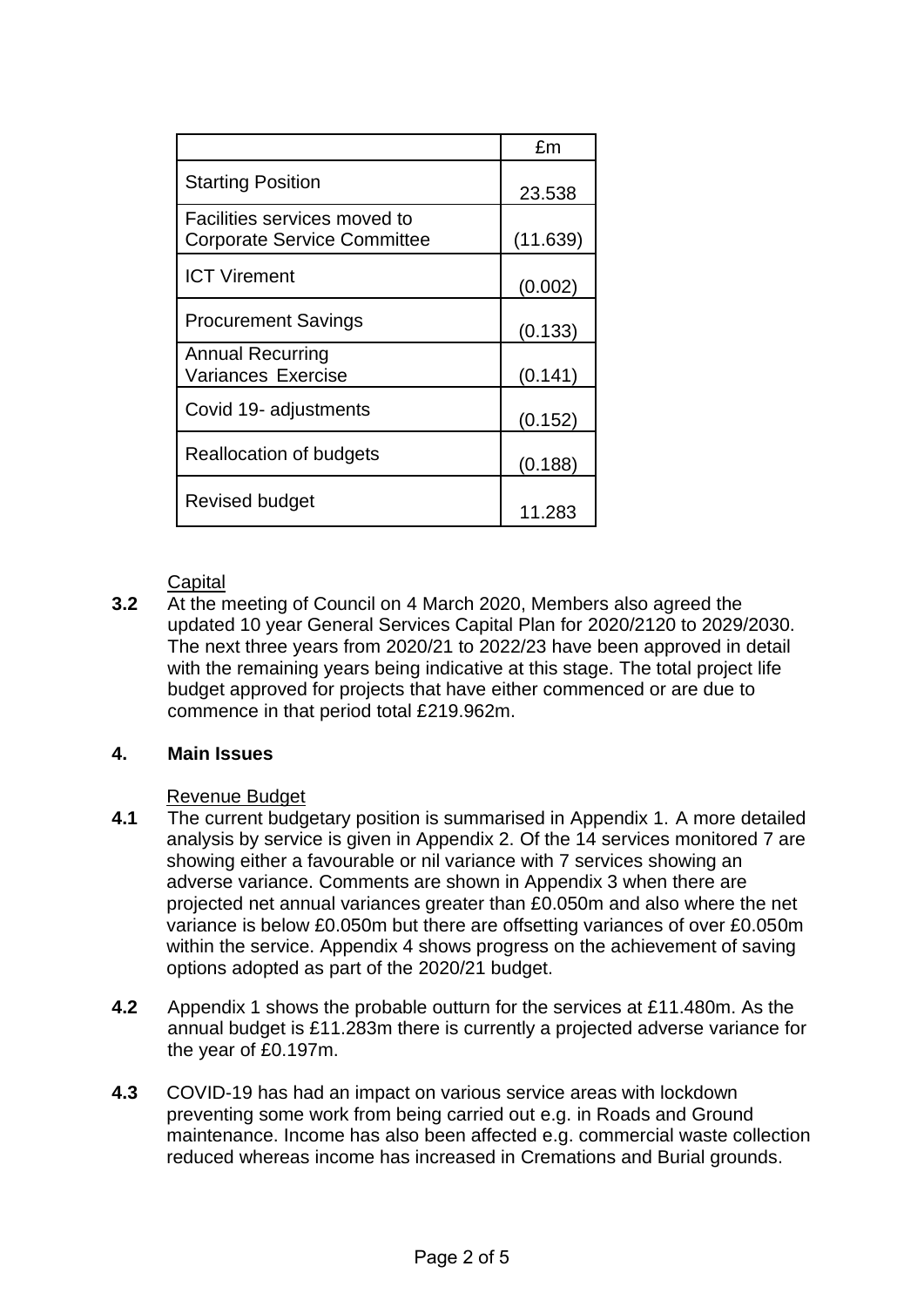|                                                                    | fm       |
|--------------------------------------------------------------------|----------|
| <b>Starting Position</b>                                           | 23.538   |
| Facilities services moved to<br><b>Corporate Service Committee</b> | (11.639) |
| <b>ICT Virement</b>                                                | (0.002)  |
| <b>Procurement Savings</b>                                         | (0.133)  |
| Annual Recurring<br>Variances Exercise                             | (0.141)  |
| Covid 19- adjustments                                              | (0.152)  |
| Reallocation of budgets                                            | (0.188)  |
| Revised budget                                                     | 11.283   |

### **Capital**

**3.2** At the meeting of Council on 4 March 2020, Members also agreed the updated 10 year General Services Capital Plan for 2020/2120 to 2029/2030. The next three years from 2020/21 to 2022/23 have been approved in detail with the remaining years being indicative at this stage. The total project life budget approved for projects that have either commenced or are due to commence in that period total £219.962m.

### **4. Main Issues**

# Revenue Budget

- **4.1** The current budgetary position is summarised in Appendix 1. A more detailed analysis by service is given in Appendix 2. Of the 14 services monitored 7 are showing either a favourable or nil variance with 7 services showing an adverse variance. Comments are shown in Appendix 3 when there are projected net annual variances greater than £0.050m and also where the net variance is below £0.050m but there are offsetting variances of over £0.050m within the service. Appendix 4 shows progress on the achievement of saving options adopted as part of the 2020/21 budget.
- **4.2** Appendix 1 shows the probable outturn for the services at £11.480m. As the annual budget is £11.283m there is currently a projected adverse variance for the year of £0.197m.
- **4.3** COVID-19 has had an impact on various service areas with lockdown preventing some work from being carried out e.g. in Roads and Ground maintenance. Income has also been affected e.g. commercial waste collection reduced whereas income has increased in Cremations and Burial grounds.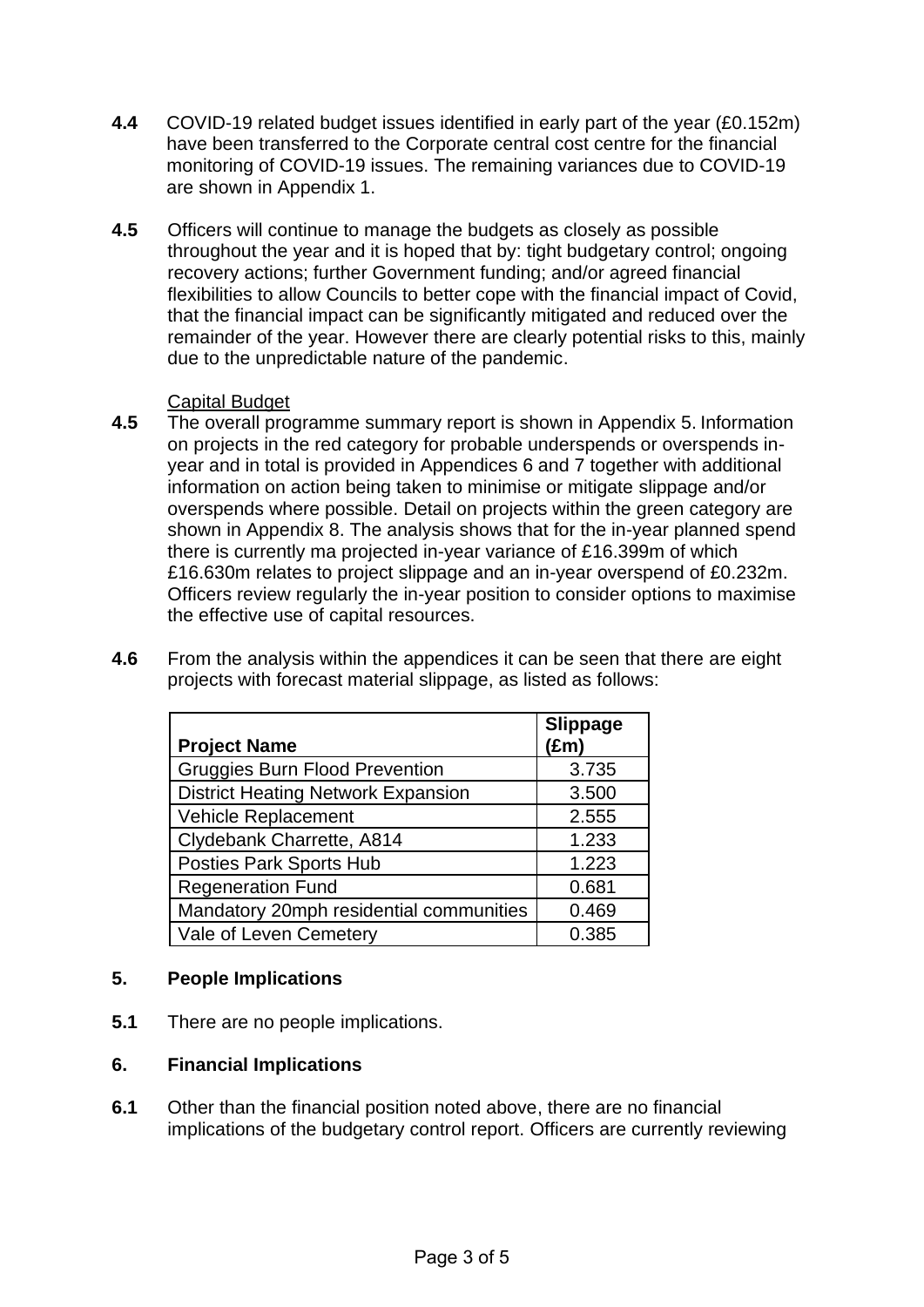- **4.4** COVID-19 related budget issues identified in early part of the year (£0.152m) have been transferred to the Corporate central cost centre for the financial monitoring of COVID-19 issues. The remaining variances due to COVID-19 are shown in Appendix 1.
- **4.5** Officers will continue to manage the budgets as closely as possible throughout the year and it is hoped that by: tight budgetary control; ongoing recovery actions; further Government funding; and/or agreed financial flexibilities to allow Councils to better cope with the financial impact of Covid, that the financial impact can be significantly mitigated and reduced over the remainder of the year. However there are clearly potential risks to this, mainly due to the unpredictable nature of the pandemic.

## Capital Budget

- **4.5** The overall programme summary report is shown in Appendix 5. Information on projects in the red category for probable underspends or overspends inyear and in total is provided in Appendices 6 and 7 together with additional information on action being taken to minimise or mitigate slippage and/or overspends where possible. Detail on projects within the green category are shown in Appendix 8. The analysis shows that for the in-year planned spend there is currently ma projected in-year variance of £16.399m of which £16.630m relates to project slippage and an in-year overspend of £0.232m. Officers review regularly the in-year position to consider options to maximise the effective use of capital resources.
- **4.6** From the analysis within the appendices it can be seen that there are eight projects with forecast material slippage, as listed as follows:

| <b>Project Name</b>                       | Slippage<br>(£m) |
|-------------------------------------------|------------------|
| <b>Gruggies Burn Flood Prevention</b>     | 3.735            |
| <b>District Heating Network Expansion</b> | 3.500            |
| <b>Vehicle Replacement</b>                | 2.555            |
| Clydebank Charrette, A814                 | 1.233            |
| <b>Posties Park Sports Hub</b>            | 1.223            |
| <b>Regeneration Fund</b>                  | 0.681            |
| Mandatory 20mph residential communities   | 0.469            |
| Vale of Leven Cemetery                    | 0.385            |

# **5. People Implications**

**5.1** There are no people implications.

# **6. Financial Implications**

**6.1** Other than the financial position noted above, there are no financial implications of the budgetary control report. Officers are currently reviewing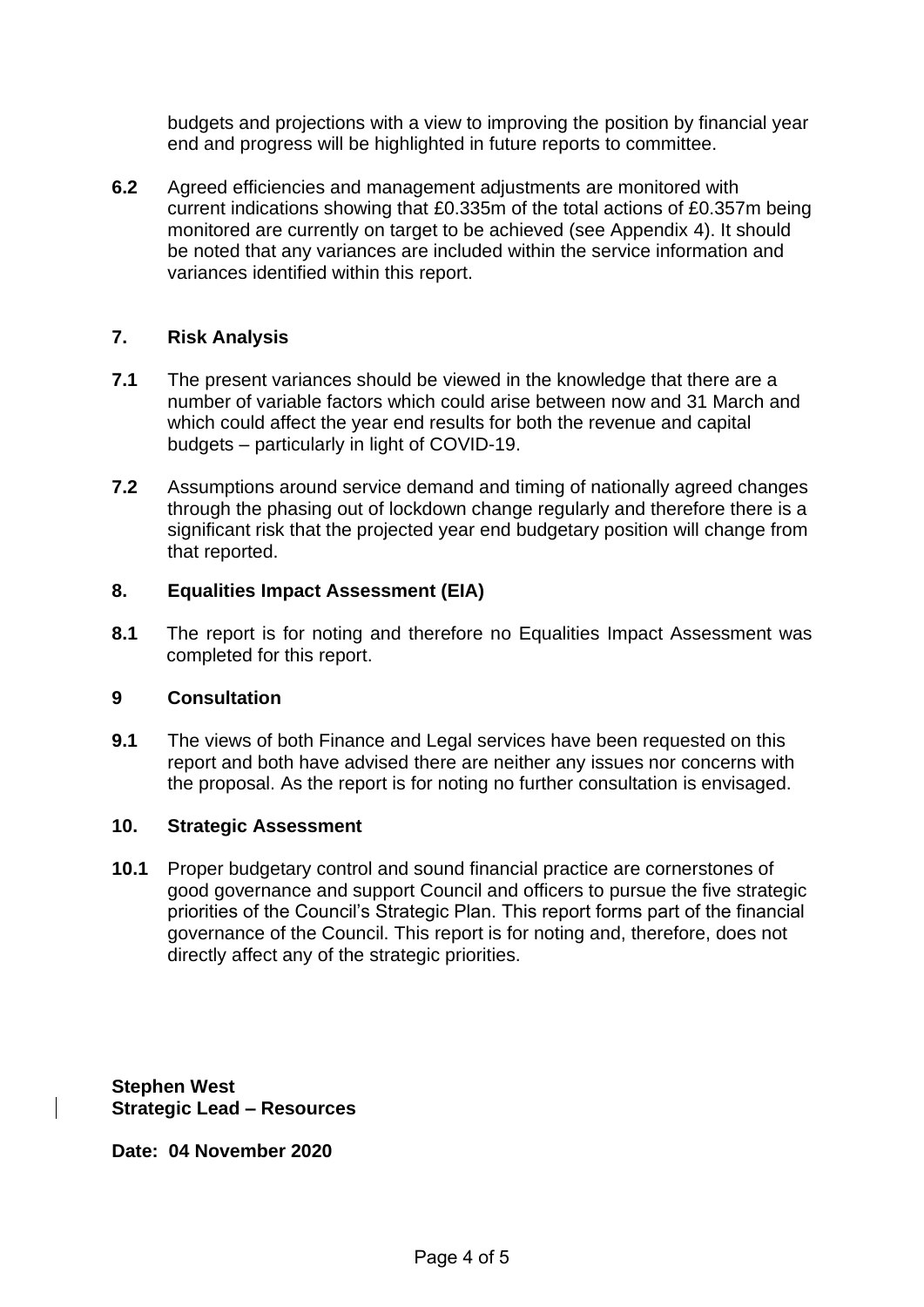budgets and projections with a view to improving the position by financial year end and progress will be highlighted in future reports to committee.

**6.2** Agreed efficiencies and management adjustments are monitored with current indications showing that £0.335m of the total actions of £0.357m being monitored are currently on target to be achieved (see Appendix 4). It should be noted that any variances are included within the service information and variances identified within this report.

## **7. Risk Analysis**

- **7.1** The present variances should be viewed in the knowledge that there are a number of variable factors which could arise between now and 31 March and which could affect the year end results for both the revenue and capital budgets – particularly in light of COVID-19.
- **7.2** Assumptions around service demand and timing of nationally agreed changes through the phasing out of lockdown change regularly and therefore there is a significant risk that the projected year end budgetary position will change from that reported.

### **8. Equalities Impact Assessment (EIA)**

**8.1** The report is for noting and therefore no Equalities Impact Assessment was completed for this report.

### **9 Consultation**

**9.1** The views of both Finance and Legal services have been requested on this report and both have advised there are neither any issues nor concerns with the proposal. As the report is for noting no further consultation is envisaged.

### **10. Strategic Assessment**

**10.1** Proper budgetary control and sound financial practice are cornerstones of good governance and support Council and officers to pursue the five strategic priorities of the Council's Strategic Plan. This report forms part of the financial governance of the Council. This report is for noting and, therefore, does not directly affect any of the strategic priorities.

**Stephen West Strategic Lead – Resources** 

**Date: 04 November 2020**